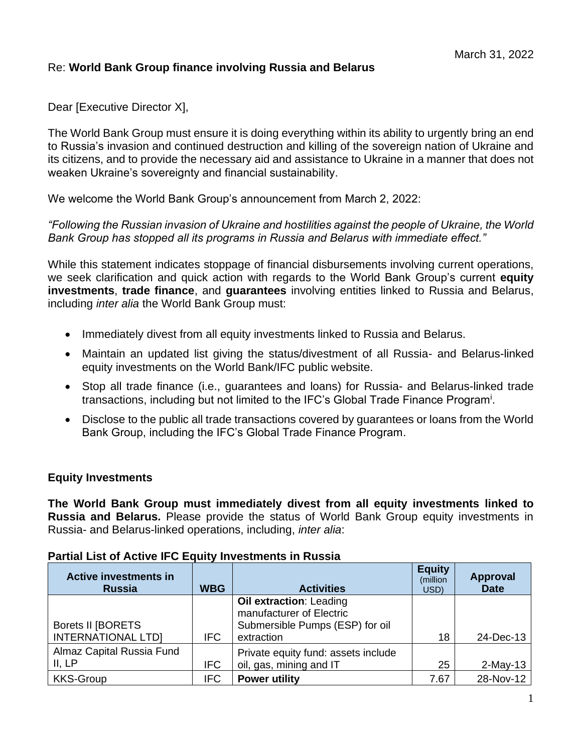## Re: **World Bank Group finance involving Russia and Belarus**

Dear [Executive Director X],

The World Bank Group must ensure it is doing everything within its ability to urgently bring an end to Russia's invasion and continued destruction and killing of the sovereign nation of Ukraine and its citizens, and to provide the necessary aid and assistance to Ukraine in a manner that does not weaken Ukraine's sovereignty and financial sustainability.

We welcome the World Bank Group's announcement from March 2, 2022:

*"Following the Russian invasion of Ukraine and hostilities against the people of Ukraine, the World Bank Group has stopped all its programs in Russia and Belarus with immediate effect."*

While this statement indicates stoppage of financial disbursements involving current operations, we seek clarification and quick action with regards to the World Bank Group's current **equity investments**, **trade finance**, and **guarantees** involving entities linked to Russia and Belarus, including *inter alia* the World Bank Group must:

- Immediately divest from all equity investments linked to Russia and Belarus.
- Maintain an updated list giving the status/divestment of all Russia- and Belarus-linked equity investments on the World Bank/IFC public website.
- Stop all trade finance (i.e., guarantees and loans) for Russia- and Belarus-linked trade transactions, including but not limited to the IFC's Global Trade Finance Program<sup>i</sup>.
- Disclose to the public all trade transactions covered by guarantees or loans from the World Bank Group, including the IFC's Global Trade Finance Program.

### **Equity Investments**

**The World Bank Group must immediately divest from all equity investments linked to Russia and Belarus.** Please provide the status of World Bank Group equity investments in Russia- and Belarus-linked operations, including, *inter alia*:

| <b>Active investments in</b><br><b>Russia</b>  | <b>WBG</b> | <b>Activities</b>                                                                                           | <b>Equity</b><br>(million<br>USD) | <b>Approval</b><br><b>Date</b> |
|------------------------------------------------|------------|-------------------------------------------------------------------------------------------------------------|-----------------------------------|--------------------------------|
| Borets II [BORETS<br><b>INTERNATIONAL LTDI</b> | IFC.       | <b>Oil extraction: Leading</b><br>manufacturer of Electric<br>Submersible Pumps (ESP) for oil<br>extraction | 18                                | 24-Dec-13                      |
| Almaz Capital Russia Fund<br>II, LP            | <b>IFC</b> | Private equity fund: assets include<br>oil, gas, mining and IT                                              | 25                                | $2-May-13$                     |
| <b>KKS-Group</b>                               | <b>IFC</b> | <b>Power utility</b>                                                                                        | 7.67                              | 28-Nov-12                      |

### **Partial List of Active IFC Equity Investments in Russia**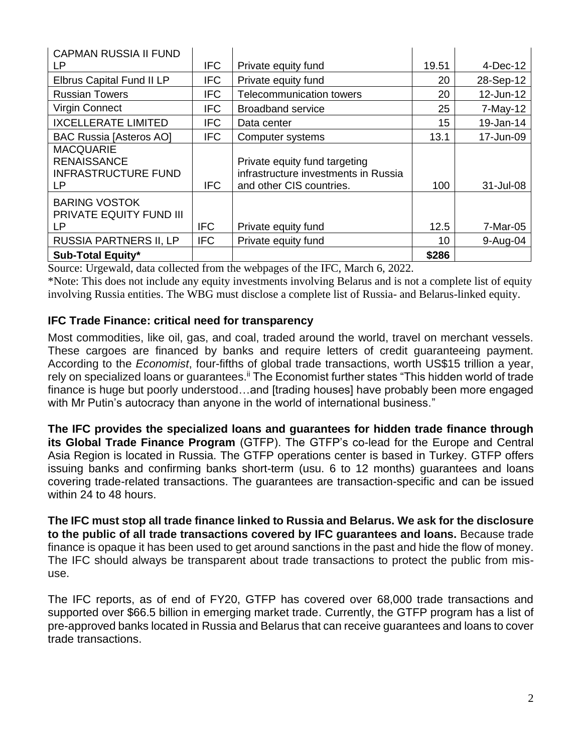| <b>CAPMAN RUSSIA II FUND</b>                                                |            |                                                                                                   |       |            |
|-----------------------------------------------------------------------------|------------|---------------------------------------------------------------------------------------------------|-------|------------|
| LP                                                                          | <b>IFC</b> | Private equity fund                                                                               | 19.51 | 4-Dec-12   |
| Elbrus Capital Fund II LP                                                   | <b>IFC</b> | Private equity fund                                                                               | 20    | 28-Sep-12  |
| <b>Russian Towers</b>                                                       | <b>IFC</b> | <b>Telecommunication towers</b>                                                                   | 20    | 12-Jun-12  |
| <b>Virgin Connect</b>                                                       | <b>IFC</b> | <b>Broadband service</b>                                                                          | 25    | $7-May-12$ |
| <b>IXCELLERATE LIMITED</b>                                                  | <b>IFC</b> | Data center                                                                                       | 15    | 19-Jan-14  |
| <b>BAC Russia [Asteros AO]</b>                                              | <b>IFC</b> | Computer systems                                                                                  | 13.1  | 17-Jun-09  |
| <b>MACQUARIE</b><br><b>RENAISSANCE</b><br><b>INFRASTRUCTURE FUND</b><br>LP. | <b>IFC</b> | Private equity fund targeting<br>infrastructure investments in Russia<br>and other CIS countries. | 100   | 31-Jul-08  |
| <b>BARING VOSTOK</b><br>PRIVATE EQUITY FUND III<br>LР                       | <b>IFC</b> | Private equity fund                                                                               | 12.5  | 7-Mar-05   |
| <b>RUSSIA PARTNERS II, LP</b>                                               | <b>IFC</b> | Private equity fund                                                                               | 10    | $9-Auq-04$ |
| <b>Sub-Total Equity*</b>                                                    |            |                                                                                                   | \$286 |            |

Source: Urgewald, data collected from the webpages of the IFC, March 6, 2022.

\*Note: This does not include any equity investments involving Belarus and is not a complete list of equity involving Russia entities. The WBG must disclose a complete list of Russia- and Belarus-linked equity.

## **IFC Trade Finance: critical need for transparency**

Most commodities, like oil, gas, and coal, traded around the world, travel on merchant vessels. These cargoes are financed by banks and require letters of credit guaranteeing payment. According to the *Economist*, four-fifths of global trade transactions, worth US\$15 trillion a year, rely on specialized loans or guarantees.<sup>ii</sup> The Economist further states "This hidden world of trade finance is huge but poorly understood…and [trading houses] have probably been more engaged with Mr Putin's autocracy than anyone in the world of international business."

**The IFC provides the specialized loans and guarantees for hidden trade finance through its Global Trade Finance Program** (GTFP). The GTFP's co-lead for the Europe and Central Asia Region is located in Russia. The GTFP operations center is based in Turkey. GTFP offers issuing banks and confirming banks short-term (usu. 6 to 12 months) guarantees and loans covering trade-related transactions. The guarantees are transaction-specific and can be issued within 24 to 48 hours.

**The IFC must stop all trade finance linked to Russia and Belarus. We ask for the disclosure to the public of all trade transactions covered by IFC guarantees and loans.** Because trade finance is opaque it has been used to get around sanctions in the past and hide the flow of money. The IFC should always be transparent about trade transactions to protect the public from misuse.

The IFC reports, as of end of FY20, GTFP has covered over 68,000 trade transactions and supported over \$66.5 billion in emerging market trade. Currently, the GTFP program has a list of pre-approved banks located in Russia and Belarus that can receive guarantees and loans to cover trade transactions.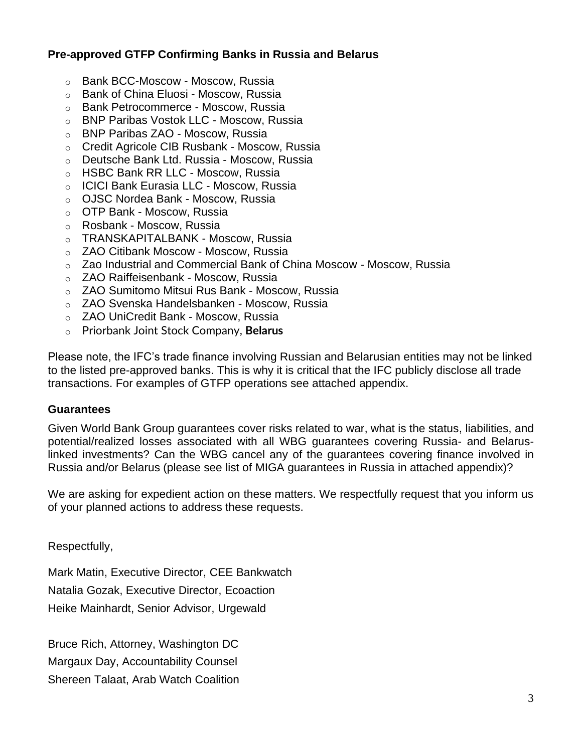# **Pre-approved GTFP Confirming Banks in Russia and Belarus**

- o Bank BCC-Moscow Moscow, Russia
- o Bank of China Eluosi Moscow, Russia
- o Bank Petrocommerce Moscow, Russia
- o BNP Paribas Vostok LLC Moscow, Russia
- o BNP Paribas ZAO Moscow, Russia
- o Credit Agricole CIB Rusbank Moscow, Russia
- o Deutsche Bank Ltd. Russia Moscow, Russia
- o HSBC Bank RR LLC Moscow, Russia
- o ICICI Bank Eurasia LLC Moscow, Russia
- o OJSC Nordea Bank Moscow, Russia
- o OTP Bank Moscow, Russia
- o Rosbank Moscow, Russia
- o TRANSKAPITALBANK Moscow, Russia
- o ZAO Citibank Moscow Moscow, Russia
- o Zao Industrial and Commercial Bank of China Moscow Moscow, Russia
- o ZAO Raiffeisenbank Moscow, Russia
- o ZAO Sumitomo Mitsui Rus Bank Moscow, Russia
- o ZAO Svenska Handelsbanken Moscow, Russia
- o ZAO UniCredit Bank Moscow, Russia
- o Priorbank Joint Stock Company, **Belarus**

Please note, the IFC's trade finance involving Russian and Belarusian entities may not be linked to the listed pre-approved banks. This is why it is critical that the IFC publicly disclose all trade transactions. For examples of GTFP operations see attached appendix.

### **Guarantees**

Given World Bank Group guarantees cover risks related to war, what is the status, liabilities, and potential/realized losses associated with all WBG guarantees covering Russia- and Belaruslinked investments? Can the WBG cancel any of the guarantees covering finance involved in Russia and/or Belarus (please see list of MIGA guarantees in Russia in attached appendix)?

We are asking for expedient action on these matters. We respectfully request that you inform us of your planned actions to address these requests.

Respectfully,

Mark Matin, Executive Director, CEE Bankwatch Natalia Gozak, Executive Director, Ecoaction Heike Mainhardt, Senior Advisor, Urgewald

Bruce Rich, Attorney, Washington DC Margaux Day, Accountability Counsel Shereen Talaat, Arab Watch Coalition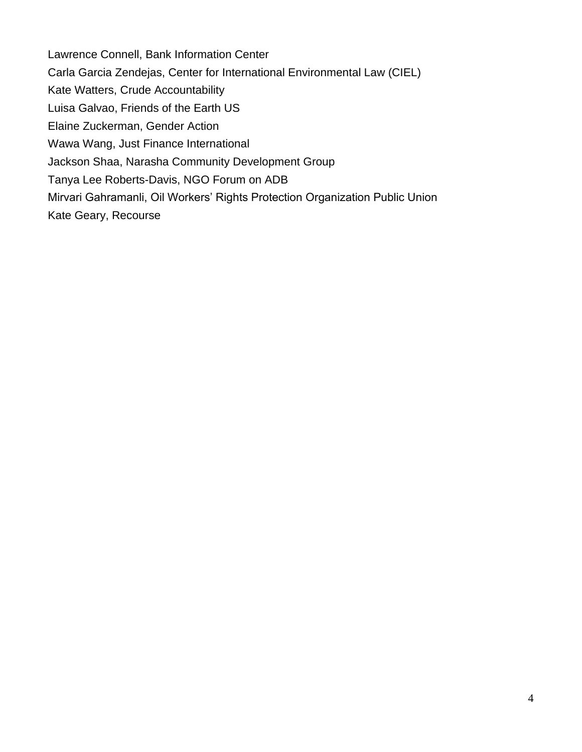Lawrence Connell, Bank Information Center Carla Garcia Zendejas, Center for International Environmental Law (CIEL) Kate Watters, Crude Accountability Luisa Galvao, Friends of the Earth US Elaine Zuckerman, Gender Action Wawa Wang, Just Finance International Jackson Shaa, Narasha Community Development Group Tanya Lee Roberts-Davis, NGO Forum on ADB Mirvari Gahramanli, Oil Workers' Rights Protection Organization Public Union Kate Geary, Recourse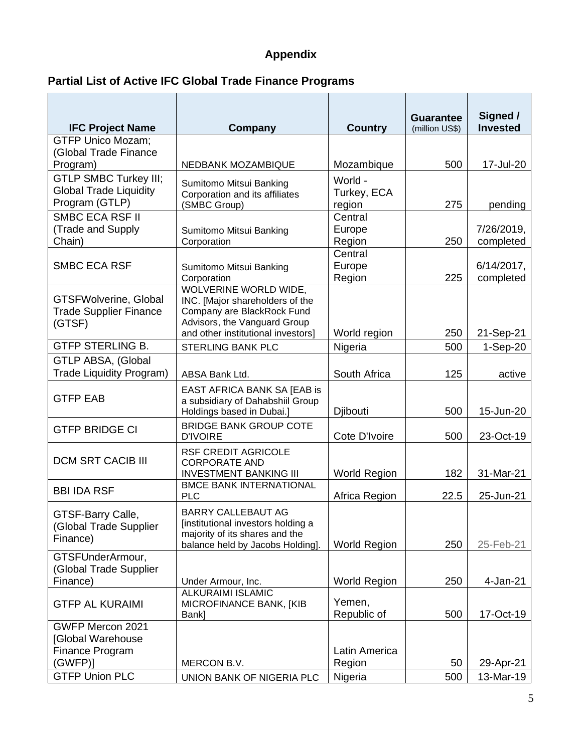# **Appendix**

# **Partial List of Active IFC Global Trade Finance Programs**

|                                                         |                                                                                                                                       |                       | <b>Guarantee</b> | Signed /<br><b>Invested</b> |
|---------------------------------------------------------|---------------------------------------------------------------------------------------------------------------------------------------|-----------------------|------------------|-----------------------------|
| <b>IFC Project Name</b><br><b>GTFP Unico Mozam;</b>     | Company                                                                                                                               | <b>Country</b>        | (million US\$)   |                             |
| (Global Trade Finance                                   |                                                                                                                                       |                       |                  |                             |
| Program)                                                | NEDBANK MOZAMBIQUE                                                                                                                    | Mozambique            | 500              | 17-Jul-20                   |
| <b>GTLP SMBC Turkey III;</b>                            | Sumitomo Mitsui Banking                                                                                                               | World -               |                  |                             |
| <b>Global Trade Liquidity</b>                           | Corporation and its affiliates                                                                                                        | Turkey, ECA           |                  |                             |
| Program (GTLP)                                          | (SMBC Group)                                                                                                                          | region                | 275              | pending                     |
| SMBC ECA RSF II                                         |                                                                                                                                       | Central               |                  |                             |
| (Trade and Supply                                       | Sumitomo Mitsui Banking                                                                                                               | Europe                |                  | 7/26/2019,                  |
| Chain)                                                  | Corporation                                                                                                                           | Region<br>Central     | 250              | completed                   |
| <b>SMBC ECA RSF</b>                                     | Sumitomo Mitsui Banking                                                                                                               | Europe                |                  | $6/14/2017$ ,               |
|                                                         | Corporation                                                                                                                           | Region                | 225              | completed                   |
|                                                         | WOLVERINE WORLD WIDE,                                                                                                                 |                       |                  |                             |
| <b>GTSFWolverine, Global</b>                            | INC. [Major shareholders of the                                                                                                       |                       |                  |                             |
| <b>Trade Supplier Finance</b>                           | Company are BlackRock Fund<br>Advisors, the Vanguard Group                                                                            |                       |                  |                             |
| (GTSF)                                                  | and other institutional investors]                                                                                                    | World region          | 250              | 21-Sep-21                   |
| <b>GTFP STERLING B.</b>                                 | <b>STERLING BANK PLC</b>                                                                                                              | Nigeria               | 500              | $1-Sep-20$                  |
| <b>GTLP ABSA, (Global</b>                               |                                                                                                                                       |                       |                  |                             |
| <b>Trade Liquidity Program)</b>                         | ABSA Bank Ltd.                                                                                                                        | South Africa          | 125              | active                      |
| <b>GTFP EAB</b>                                         | EAST AFRICA BANK SA [EAB is<br>a subsidiary of Dahabshiil Group                                                                       |                       |                  |                             |
|                                                         | Holdings based in Dubai.]                                                                                                             | Djibouti              | 500              | 15-Jun-20                   |
| <b>GTFP BRIDGE CI</b>                                   | <b>BRIDGE BANK GROUP COTE</b><br><b>D'IVOIRE</b>                                                                                      | Cote D'Ivoire         | 500              | 23-Oct-19                   |
| <b>DCM SRT CACIB III</b>                                | <b>RSF CREDIT AGRICOLE</b><br><b>CORPORATE AND</b><br><b>INVESTMENT BANKING III</b>                                                   | <b>World Region</b>   | 182              | 31-Mar-21                   |
| <b>BBI IDA RSF</b>                                      | <b>BMCE BANK INTERNATIONAL</b><br><b>PLC</b>                                                                                          | Africa Region         | 22.5             | 25-Jun-21                   |
| GTSF-Barry Calle,<br>(Global Trade Supplier<br>Finance) | <b>BARRY CALLEBAUT AG</b><br>[institutional investors holding a<br>majority of its shares and the<br>balance held by Jacobs Holding]. | <b>World Region</b>   | 250              | 25-Feb-21                   |
| GTSFUnderArmour,<br>(Global Trade Supplier              |                                                                                                                                       |                       |                  |                             |
| Finance)                                                | Under Armour, Inc.                                                                                                                    | <b>World Region</b>   | 250              | 4-Jan-21                    |
| <b>GTFP AL KURAIMI</b>                                  | <b>ALKURAIMI ISLAMIC</b><br>MICROFINANCE BANK, [KIB                                                                                   | Yemen,<br>Republic of | 500              | 17-Oct-19                   |
| GWFP Mercon 2021                                        | Bank]                                                                                                                                 |                       |                  |                             |
| [Global Warehouse                                       |                                                                                                                                       |                       |                  |                             |
| Finance Program                                         |                                                                                                                                       | Latin America         |                  |                             |
| (GWFP)                                                  | MERCON B.V.                                                                                                                           | Region                | 50               | 29-Apr-21                   |
| <b>GTFP Union PLC</b>                                   | UNION BANK OF NIGERIA PLC                                                                                                             | Nigeria               | 500              | 13-Mar-19                   |